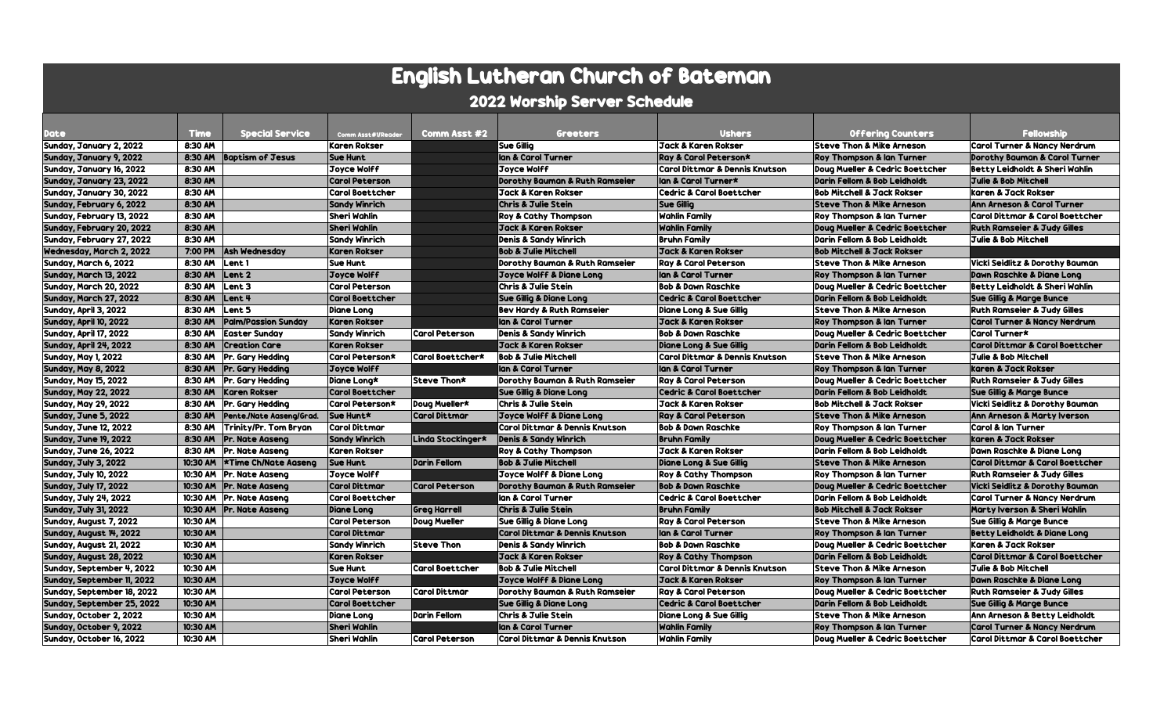| <b>English Lutheran Church of Bateman</b> |             |                             |                        |                        |                                           |                                           |                                            |                                            |  |  |  |  |
|-------------------------------------------|-------------|-----------------------------|------------------------|------------------------|-------------------------------------------|-------------------------------------------|--------------------------------------------|--------------------------------------------|--|--|--|--|
| 2022 Worship Server Schedule              |             |                             |                        |                        |                                           |                                           |                                            |                                            |  |  |  |  |
| <b>Date</b>                               | <b>Time</b> | <b>Special Service</b>      | Comm Asst#1/Reader     | Comm Asst #2           | <b>Greeters</b>                           | <b>Ushers</b>                             | <b>Offering Counters</b>                   | <b>Fellowship</b>                          |  |  |  |  |
| Sunday, January 2, 2022                   | 8:30 AM     |                             | <b>Karen Rokser</b>    |                        | <b>Sue Gillia</b>                         | Jack & Karen Rokser                       | <b>Steve Thon &amp; Mike Arneson</b>       | <b>Carol Turner &amp; Nancy Nerdrum</b>    |  |  |  |  |
| Sunday, January 9, 2022                   | 8:30 AM     | <b>Baptism of Jesus</b>     | <b>Sue Hunt</b>        |                        | lan & Carol Turner                        | Ray & Carol Peterson*                     | <b>Roy Thompson &amp; Ian Turner</b>       | Dorothy Bauman & Carol Turner              |  |  |  |  |
| Sunday, January 16, 2022                  | 8:30 AM     |                             | Joyce Wolff            |                        | <b>Joyce Wolff</b>                        | Carol Dittmar & Dennis Knutson            | Doug Mueller & Cedric Boettcher            | <b>Betty Leidholdt &amp; Sheri Wahlin</b>  |  |  |  |  |
| Sunday, January 23, 2022                  | 8:30 AM     |                             | <b>Carol Peterson</b>  |                        | Dorothy Bauman & Ruth Ramseier            | llan & Carol Turner*                      | Darin Fellom & Bob Leidholdt               | Julie & Bob Mitchell                       |  |  |  |  |
| Sunday, January 30, 2022                  | 8:30 AM     |                             | <b>Carol Boettcher</b> |                        | <b>Jack &amp; Karen Rokser</b>            | <b>Cedric &amp; Carol Boettcher</b>       | <b>Bob Mitchell &amp; Jack Rokser</b>      | karen & Jack Rokser                        |  |  |  |  |
| Sunday, February 6, 2022                  | 8:30 AM     |                             | <b>Sandy Winrich</b>   |                        | <b>Chris &amp; Julie Stein</b>            | <b>Sue Gillia</b>                         | <b>Steve Thon &amp; Mike Arneson</b>       | <b>Ann Arneson &amp; Carol Turner</b>      |  |  |  |  |
| Sunday, February 13, 2022                 | 8:30 AM     |                             | Sheri Wahlin           |                        | Roy & Cathy Thompson                      | <b>Wahlin Family</b>                      | <b>Roy Thompson &amp; Ian Turner</b>       | <b>Carol Dittmar &amp; Carol Boettcher</b> |  |  |  |  |
| Sunday, February 20, 2022                 | 8:30 AM     |                             | <b>Sheri Wahlin</b>    |                        | <b>Jack &amp; Karen Rokser</b>            | <b>Wahlin Family</b>                      | Doug Mueller & Cedric Boettcher            | <b>Ruth Ramseier &amp; Judy Gilles</b>     |  |  |  |  |
| Sunday, February 27, 2022                 | 8:30 AM     |                             | <b>Sandy Winrich</b>   |                        | <b>Denis &amp; Sandy Winrich</b>          | <b>Bruhn Family</b>                       | Darin Fellom & Bob Leidholdt               | <b>Julie &amp; Bob Mitchell</b>            |  |  |  |  |
| Wednesday, March 2, 2022                  | 7:00 PM     | <b>Ash Wednesday</b>        | <b>Karen Rokser</b>    |                        | <b>Bob &amp; Julie Mitchell</b>           | Jack & Karen Rokser                       | <b>Bob Mitchell &amp; Jack Rokser</b>      |                                            |  |  |  |  |
| Sunday, March 6, 2022                     | 8:30 AM     | Lent 1                      | <b>Sue Hunt</b>        |                        | Dorothy Bauman & Ruth Ramseier            | <b>Ray &amp; Carol Peterson</b>           | <b>Steve Thon &amp; Mike Arneson</b>       | <b>Vicki Seidlitz &amp; Dorothy Bauman</b> |  |  |  |  |
| Sunday, March 13, 2022                    | 8:30 AM     | Lent <sub>2</sub>           | Joyce Wolff            |                        | <b>Joyce Wolff &amp; Diane Long</b>       | lan & Carol Turner                        | <b>Roy Thompson &amp; Ian Turner</b>       | Dawn Raschke & Diane Long                  |  |  |  |  |
| Sunday, March 20, 2022                    | 8:30 AM     | Lent <sub>3</sub>           | <b>Carol Peterson</b>  |                        | <b>Chris &amp; Julie Stein</b>            | <b>Bob &amp; Dawn Raschke</b>             | Doug Mueller & Cedric Boettcher            | Betty Leidholdt & Sheri Wahlin             |  |  |  |  |
| Sunday, March 27, 2022                    | 8:30 AM     | Lent 4                      | <b>Carol Boettcher</b> |                        | <b>Sue Gillig &amp; Diane Long</b>        | <b>Cedric &amp; Carol Boettcher</b>       | Darin Fellom & Bob Leidholdt               | <b>Sue Gillig &amp; Marge Bunce</b>        |  |  |  |  |
| Sunday, April 3, 2022                     | 8:30 AM     | Lent <sub>5</sub>           | <b>Diane Lona</b>      |                        | <b>Bev Hardy &amp; Ruth Ramseier</b>      | <b>Diane Long &amp; Sue Gillia</b>        | <b>Steve Thon &amp; Mike Arneson</b>       | <b>Ruth Ramseier &amp; Judy Gilles</b>     |  |  |  |  |
| Sunday, April 10, 2022                    | 8:30 AM     | <b>Palm/Passion Sunday</b>  | <b>Karen Rokser</b>    |                        | lan & Carol Turner                        | Jack & Karen Rokser                       | <b>Roy Thompson &amp; Ian Turner</b>       | <b>Carol Turner &amp; Nancy Nerdrum</b>    |  |  |  |  |
| Sunday, April 17, 2022                    | 8:30 AM     | <b>Easter Sunday</b>        | <b>Sandy Winrich</b>   | <b>Carol Peterson</b>  | Denis & Sandy Winrich                     | <b>Bob &amp; Dawn Raschke</b>             | <b>Doug Mueller &amp; Cedric Boettcher</b> | Carol Turner*                              |  |  |  |  |
| Sunday, April 24, 2022                    | 8:30 AM     | <b>Creation Care</b>        | <b>Karen Rokser</b>    |                        | <b>Jack &amp; Karen Rokser</b>            | <b>Diane Lona &amp; Sue Gillia</b>        | Darin Fellom & Bob Leidholdt               | <b>Carol Dittmar &amp; Carol Boettcher</b> |  |  |  |  |
| <b>Sunday, May 1, 2022</b>                | 8:30 AM     | Pr. Gary Heddina            | Carol Peterson*        | Carol Boettcher*       | <b>Bob &amp; Julie Mitchell</b>           | Carol Dittmar & Dennis Knutson            | <b>Steve Thon &amp; Mike Arneson</b>       | <b>Julie &amp; Bob Mitchell</b>            |  |  |  |  |
| <b>Sunday, May 8, 2022</b>                | 8:30 AM     | Pr. Gary Hedding            | Joyce Wolff            |                        | lan & Carol Turner                        | lan & Carol Turner                        | <b>Roy Thompson &amp; Ian Turner</b>       | karen & Jack Rokser                        |  |  |  |  |
| <b>Sunday, May 15, 2022</b>               | 8:30 AM     | Pr. Gary Heddina            | Diane Lona*            | Steve Thon*            | Dorothy Bauman & Ruth Ramseier            | <b>Ray &amp; Carol Peterson</b>           | Doug Mueller & Cedric Boettcher            | <b>Ruth Ramseier &amp; Judy Gilles</b>     |  |  |  |  |
| <b>Sunday, May 22, 2022</b>               | 8:30 AM     | <b>Karen Rokser</b>         | <b>Carol Boettcher</b> |                        | <b>Sue Gillig &amp; Diane Long</b>        | <b>Cedric &amp; Carol Boettcher</b>       | Darin Fellom & Bob Leidholdt               | <b>Sue Gillig &amp; Marge Bunce</b>        |  |  |  |  |
| <b>Sunday, May 29, 2022</b>               | 8:30 AM     | Pr. Gary Hedding            | Carol Peterson*        | Doug Mueller*          | Chris & Julie Stein                       | Jack & Karen Rokser                       | <b>Bob Mitchell &amp; Jack Rokser</b>      | <b>Vicki Seidlitz &amp; Dorothy Bauman</b> |  |  |  |  |
| Sunday, June 5, 2022                      | 8:30 AM     | Pente./Nate Aaseng/Grad.    | Sue Hunt*              | <b>Carol Dittmar</b>   | Joyce Wolff & Diane Long                  | <b>Ray &amp; Carol Peterson</b>           | <b>Steve Thon &amp; Mike Arneson</b>       | Ann Arneson & Marty Iverson                |  |  |  |  |
| <b>Sunday, June 12, 2022</b>              | 8:30 AM     | Trinity/Pr. Tom Bryan       | <b>Carol Dittmar</b>   |                        | <b>Carol Dittmar &amp; Dennis Knutson</b> | <b>Bob &amp; Dawn Raschke</b>             | Roy Thompson & Ian Turner                  | Carol & Ian Turner                         |  |  |  |  |
| <b>Sunday, June 19, 2022</b>              | 8:30 AM     | <b>Pr. Nate Aaseng</b>      | <b>Sandy Winrich</b>   | Linda Stockinger*      | <b>Denis &amp; Sandy Winrich</b>          | <b>Bruhn Family</b>                       | Doug Mueller & Cedric Boettcher            | karen & Jack Rokser                        |  |  |  |  |
| <b>Sunday, June 26, 2022</b>              | 8:30 AM     | Pr. Nate Aasena             | <b>Karen Rokser</b>    |                        | <b>Roy &amp; Cathy Thompson</b>           | Jack & Karen Rokser                       | Darin Fellom & Bob Leidholdt               | <b>Dawn Raschke &amp; Diane Lona</b>       |  |  |  |  |
| Sunday, July 3, 2022                      | 10:30 AM    | <b>*Time Ch/Nate Aasena</b> | <b>Sue Hunt</b>        | <b>Darin Fellom</b>    | <b>Bob &amp; Julie Mitchell</b>           | Diane Long & Sue Gillig                   | <b>Steve Thon &amp; Mike Arneson</b>       | <b>Carol Dittmar &amp; Carol Boettcher</b> |  |  |  |  |
| <b>Sunday, July 10, 2022</b>              | 10:30 AM    | <b>Pr. Nate Aasena</b>      | Joyce Wolff            |                        | <b>Joyce Wolff &amp; Diane Long</b>       | <b>Roy &amp; Cathy Thompson</b>           | <b>Roy Thompson &amp; Ian Turner</b>       | <b>Ruth Ramseier &amp; Judy Gilles</b>     |  |  |  |  |
| <b>Sunday, July 17, 2022</b>              | 10:30 AM    | <b>Pr. Nate Aasena</b>      | <b>Carol Dittmar</b>   | <b>Carol Peterson</b>  | Dorothy Bauman & Ruth Ramseier            | <b>Bob &amp; Dawn Raschke</b>             | Doug Mueller & Cedric Boettcher            | <b>Vicki Seidlitz &amp; Dorothy Bauman</b> |  |  |  |  |
| Sunday, July 24, 2022                     | 10:30 AM    | <b>Pr. Nate Aaseng</b>      | <b>Carol Boettcher</b> |                        | lan & Carol Turner                        | <b>Cedric &amp; Carol Boettcher</b>       | Darin Fellom & Bob Leidholdt               | <b>Carol Turner &amp; Nancy Nerdrum</b>    |  |  |  |  |
| <b>Sunday, July 31, 2022</b>              | 10:30 AM    | <b>Pr. Nate Aaseng</b>      | <b>Diane Long</b>      | <b>Greg Harrell</b>    | <b>Chris &amp; Julie Stein</b>            | <b>Bruhn Family</b>                       | <b>Bob Mitchell &amp; Jack Rokser</b>      | Marty Iverson & Sheri Wahlin               |  |  |  |  |
| Sunday, August 7, 2022                    | 10:30 AM    |                             | <b>Carol Peterson</b>  | <b>Doug Mueller</b>    | Sue Gillig & Diane Long                   | <b>Ray &amp; Carol Peterson</b>           | <b>Steve Thon &amp; Mike Arneson</b>       | <b>Sue Gillig &amp; Marge Bunce</b>        |  |  |  |  |
| Sunday, August 14, 2022                   | 10:30 AM    |                             | <b>Carol Dittmar</b>   |                        | <b>Carol Dittmar &amp; Dennis Knutson</b> | lan & Carol Turner                        | <b>Roy Thompson &amp; Ian Turner</b>       | <b>Betty Leidholdt &amp; Diane Long</b>    |  |  |  |  |
| Sunday, August 21, 2022                   | 10:30 AM    |                             | <b>Sandy Winrich</b>   | <b>Steve Thon</b>      | <b>Denis &amp; Sandy Winrich</b>          | <b>Bob &amp; Dawn Raschke</b>             | Doug Mueller & Cedric Boettcher            | Karen & Jack Rokser                        |  |  |  |  |
| Sunday, August 28, 2022                   | 10:30 AM    |                             | <b>Karen Rokser</b>    |                        | <b>Jack &amp; Karen Rokser</b>            | <b>Roy &amp; Cathy Thompson</b>           | Darin Fellom & Bob Leidholdt               | <b>Carol Dittmar &amp; Carol Boettcher</b> |  |  |  |  |
| Sunday, September 4, 2022                 | 10:30 AM    |                             | <b>Sue Hunt</b>        | <b>Carol Boettcher</b> | <b>Bob &amp; Julie Mitchell</b>           | <b>Carol Dittmar &amp; Dennis Knutson</b> | <b>Steve Thon &amp; Mike Arneson</b>       | <b>Julie &amp; Bob Mitchell</b>            |  |  |  |  |
| Sunday, September 11, 2022                | 10:30 AM    |                             | <b>Joyce Wolff</b>     |                        | <b>Joyce Wolff &amp; Diane Long</b>       | Jack & Karen Rokser                       | <b>Roy Thompson &amp; Ian Turner</b>       | <b>Dawn Raschke &amp; Diane Long</b>       |  |  |  |  |
| Sunday, September 18, 2022                | 10:30 AM    |                             | <b>Carol Peterson</b>  | <b>Carol Dittmar</b>   | Dorothy Bauman & Ruth Ramseier            | <b>Ray &amp; Carol Peterson</b>           | Doug Mueller & Cedric Boettcher            | <b>Ruth Ramseier &amp; Judy Gilles</b>     |  |  |  |  |
| Sunday, September 25, 2022                | 10:30 AM    |                             | <b>Carol Boettcher</b> |                        | <b>Sue Gillig &amp; Diane Long</b>        | <b>Cedric &amp; Carol Boettcher</b>       | Darin Fellom & Bob Leidholdt               | <b>Sue Gillig &amp; Marge Bunce</b>        |  |  |  |  |
| Sunday, October 2, 2022                   | 10:30 AM    |                             | <b>Diane Lona</b>      | <b>Darin Fellom</b>    | Chris & Julie Stein                       | <b>Diane Long &amp; Sue Gillig</b>        | <b>Steve Thon &amp; Mike Arneson</b>       | Ann Arneson & Betty Leidholdt              |  |  |  |  |
| Sunday, October 9, 2022                   | 10:30 AM    |                             | <b>Sheri Wahlin</b>    |                        | lan & Carol Turner                        | <b>Wahlin Family</b>                      | <b>Roy Thompson &amp; Ian Turner</b>       | <b>Carol Turner &amp; Nancy Nerdrum</b>    |  |  |  |  |
| Sunday, October 16, 2022                  | 10:30 AM    |                             | Sheri Wahlin           | <b>Carol Peterson</b>  | <b>Carol Dittmar &amp; Dennis Knutson</b> | <b>Wahlin Family</b>                      | Doug Mueller & Cedric Boettcher            | <b>Carol Dittmar &amp; Carol Boettcher</b> |  |  |  |  |